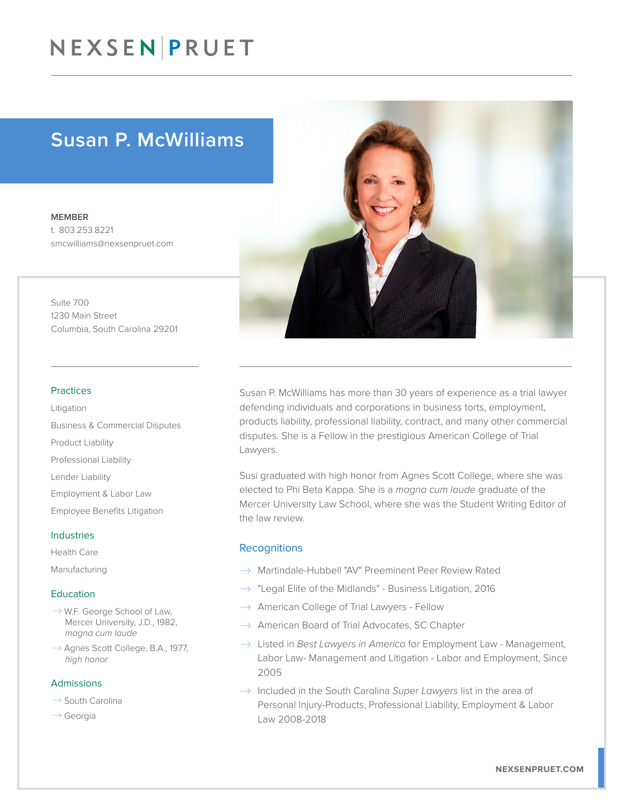## NEXSEN PRUET

### Susan P. McWilliams

MEMBER t. 803.253.8221 smcwilliams@nexsenpruet.com

Suite 700 1230 Main Street Columbia, South Carolina 29201

#### Practices

Litigation Business & Commercial Disputes Product Liability Professional Liability Lender Liability Employment & Labor Law Employee Benefits Litigation

#### Industries

Health Care

Manufacturing

#### Education

- $\rightarrow$  W.F. George School of Law, Mercer University, J.D., 1982, *magna cum laude*
- $\rightarrow$  Agnes Scott College, B.A., 1977, *high honor*

#### Admissions

- $\rightarrow$  South Carolina
- $\rightarrow$  Georgia

Susan P. McWilliams has more than 30 years of experience as a trial lawyer defending individuals and corporations in business torts, employment, products liability, professional liability, contract, and many other commercial disputes. She is a Fellow in the prestigious American College of Trial Lawyers.

Susi graduated with high honor from Agnes Scott College, where she was elected to Phi Beta Kappa. She is a *magna cum laude* graduate of the Mercer University Law School, where she was the Student Writing Editor of the law review.

#### **Recognitions**

- $\rightarrow$  Martindale-Hubbell "AV" Preeminent Peer Review Rated
- $\rightarrow$  "Legal Elite of the Midlands" Business Litigation, 2016
- $\rightarrow$  American College of Trial Lawyers Fellow
- $\rightarrow$  American Board of Trial Advocates, SC Chapter
- → Listed in *Best Lawyers in America* for Employment Law Management, Labor Law- Management and Litigation - Labor and Employment, Since 2005
- � Included in the South Carolina *Super Lawyers* list in the area of Personal Injury-Products, Professional Liability, Employment & Labor Law 2008-2018